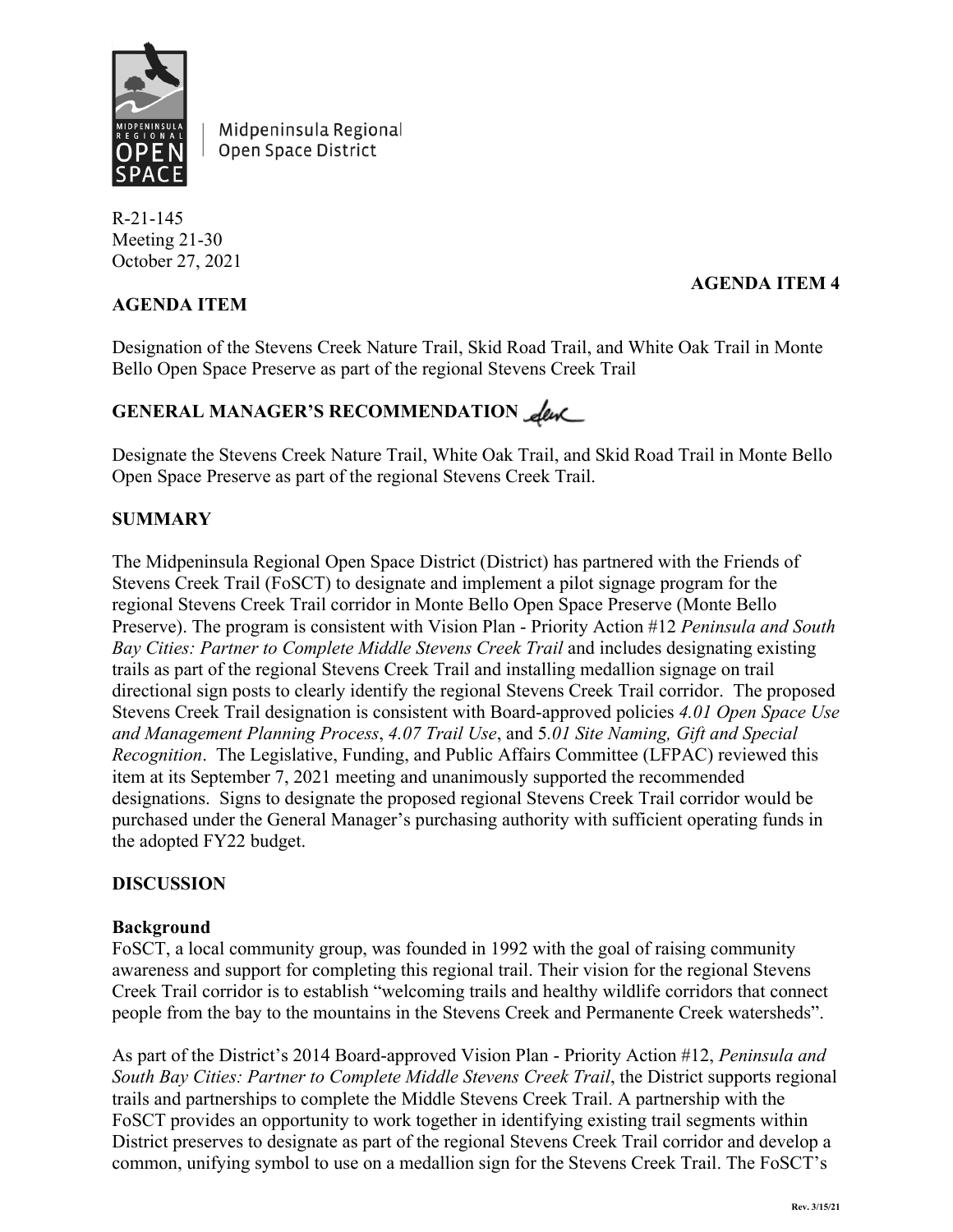

Midpeninsula Regional Open Space District

R-21-145 Meeting 21-30 October 27, 2021

## **AGENDA ITEM**

### **AGENDA ITEM 4**

Designation of the Stevens Creek Nature Trail, Skid Road Trail, and White Oak Trail in Monte Bello Open Space Preserve as part of the regional Stevens Creek Trail

# **GENERAL MANAGER'S RECOMMENDATION**

Designate the Stevens Creek Nature Trail, White Oak Trail, and Skid Road Trail in Monte Bello Open Space Preserve as part of the regional Stevens Creek Trail.

## **SUMMARY**

The Midpeninsula Regional Open Space District (District) has partnered with the Friends of Stevens Creek Trail (FoSCT) to designate and implement a pilot signage program for the regional Stevens Creek Trail corridor in Monte Bello Open Space Preserve (Monte Bello Preserve). The program is consistent with Vision Plan - Priority Action #12 *Peninsula and South Bay Cities: Partner to Complete Middle Stevens Creek Trail* and includes designating existing trails as part of the regional Stevens Creek Trail and installing medallion signage on trail directional sign posts to clearly identify the regional Stevens Creek Trail corridor. The proposed Stevens Creek Trail designation is consistent with Board-approved policies *4.01 Open Space Use and Management Planning Process*, *4.07 Trail Use*, and 5*.01 Site Naming, Gift and Special Recognition*. The Legislative, Funding, and Public Affairs Committee (LFPAC) reviewed this item at its September 7, 2021 meeting and unanimously supported the recommended designations. Signs to designate the proposed regional Stevens Creek Trail corridor would be purchased under the General Manager's purchasing authority with sufficient operating funds in the adopted FY22 budget.

#### **DISCUSSION**

#### **Background**

FoSCT, a local community group, was founded in 1992 with the goal of raising community awareness and support for completing this regional trail. Their vision for the regional Stevens Creek Trail corridor is to establish "welcoming trails and healthy wildlife corridors that connect people from the bay to the mountains in the Stevens Creek and Permanente Creek watersheds".

As part of the District's 2014 Board-approved Vision Plan - Priority Action #12, *Peninsula and South Bay Cities: Partner to Complete Middle Stevens Creek Trail*, the District supports regional trails and partnerships to complete the Middle Stevens Creek Trail. A partnership with the FoSCT provides an opportunity to work together in identifying existing trail segments within District preserves to designate as part of the regional Stevens Creek Trail corridor and develop a common, unifying symbol to use on a medallion sign for the Stevens Creek Trail. The FoSCT's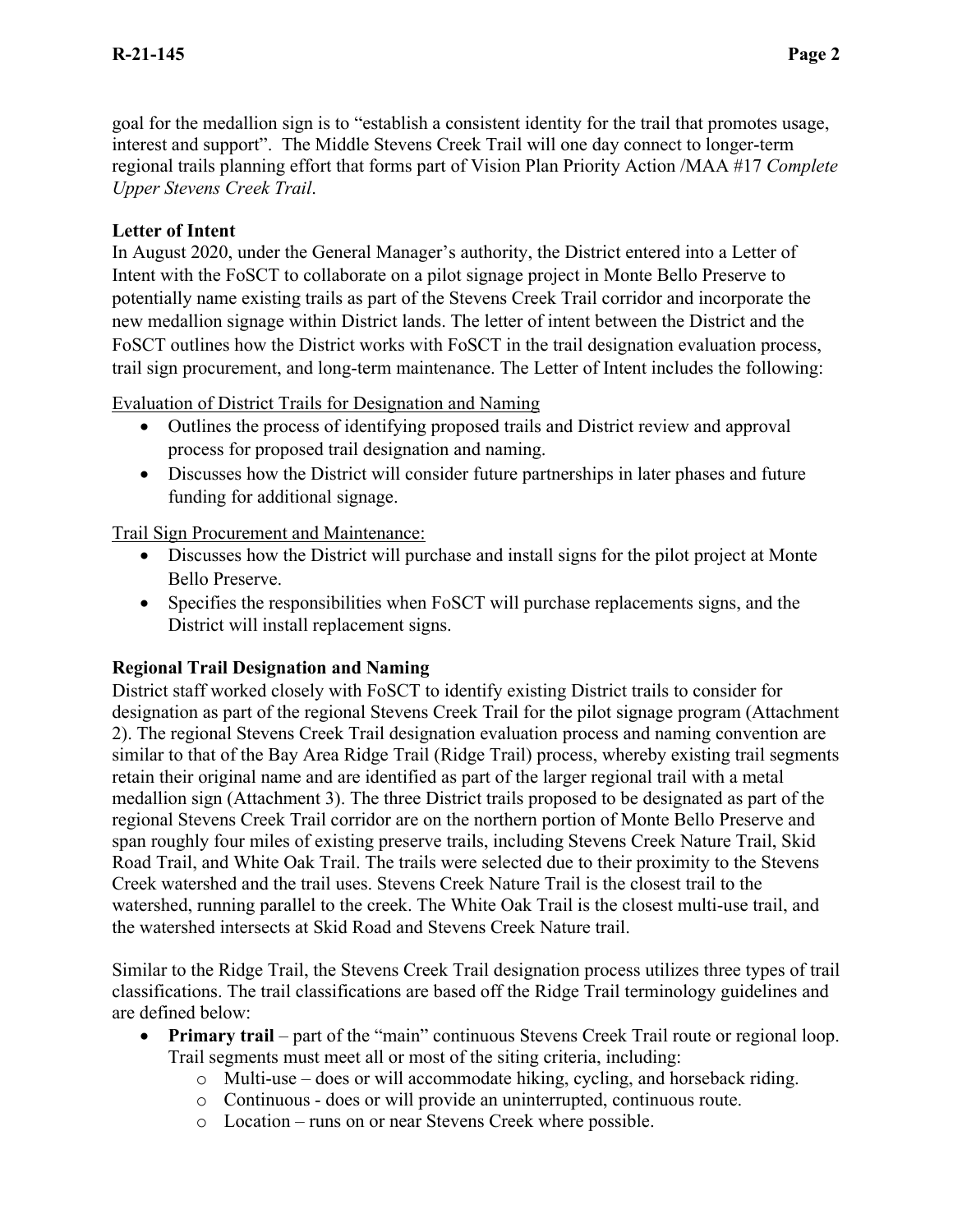goal for the medallion sign is to "establish a consistent identity for the trail that promotes usage, interest and support". The Middle Stevens Creek Trail will one day connect to longer-term regional trails planning effort that forms part of Vision Plan Priority Action /MAA #17 *Complete Upper Stevens Creek Trail*.

## **Letter of Intent**

In August 2020, under the General Manager's authority, the District entered into a Letter of Intent with the FoSCT to collaborate on a pilot signage project in Monte Bello Preserve to potentially name existing trails as part of the Stevens Creek Trail corridor and incorporate the new medallion signage within District lands. The letter of intent between the District and the FoSCT outlines how the District works with FoSCT in the trail designation evaluation process, trail sign procurement, and long-term maintenance. The Letter of Intent includes the following:

Evaluation of District Trails for Designation and Naming

- Outlines the process of identifying proposed trails and District review and approval process for proposed trail designation and naming.
- Discusses how the District will consider future partnerships in later phases and future funding for additional signage.

## Trail Sign Procurement and Maintenance:

- Discusses how the District will purchase and install signs for the pilot project at Monte Bello Preserve.
- Specifies the responsibilities when FoSCT will purchase replacements signs, and the District will install replacement signs.

#### **Regional Trail Designation and Naming**

District staff worked closely with FoSCT to identify existing District trails to consider for designation as part of the regional Stevens Creek Trail for the pilot signage program (Attachment 2). The regional Stevens Creek Trail designation evaluation process and naming convention are similar to that of the Bay Area Ridge Trail (Ridge Trail) process, whereby existing trail segments retain their original name and are identified as part of the larger regional trail with a metal medallion sign (Attachment 3). The three District trails proposed to be designated as part of the regional Stevens Creek Trail corridor are on the northern portion of Monte Bello Preserve and span roughly four miles of existing preserve trails, including Stevens Creek Nature Trail, Skid Road Trail, and White Oak Trail. The trails were selected due to their proximity to the Stevens Creek watershed and the trail uses. Stevens Creek Nature Trail is the closest trail to the watershed, running parallel to the creek. The White Oak Trail is the closest multi-use trail, and the watershed intersects at Skid Road and Stevens Creek Nature trail.

Similar to the Ridge Trail, the Stevens Creek Trail designation process utilizes three types of trail classifications. The trail classifications are based off the Ridge Trail terminology guidelines and are defined below:

- **Primary trail** part of the "main" continuous Stevens Creek Trail route or regional loop. Trail segments must meet all or most of the siting criteria, including:
	- o Multi-use does or will accommodate hiking, cycling, and horseback riding.
	- o Continuous does or will provide an uninterrupted, continuous route.
	- o Location runs on or near Stevens Creek where possible.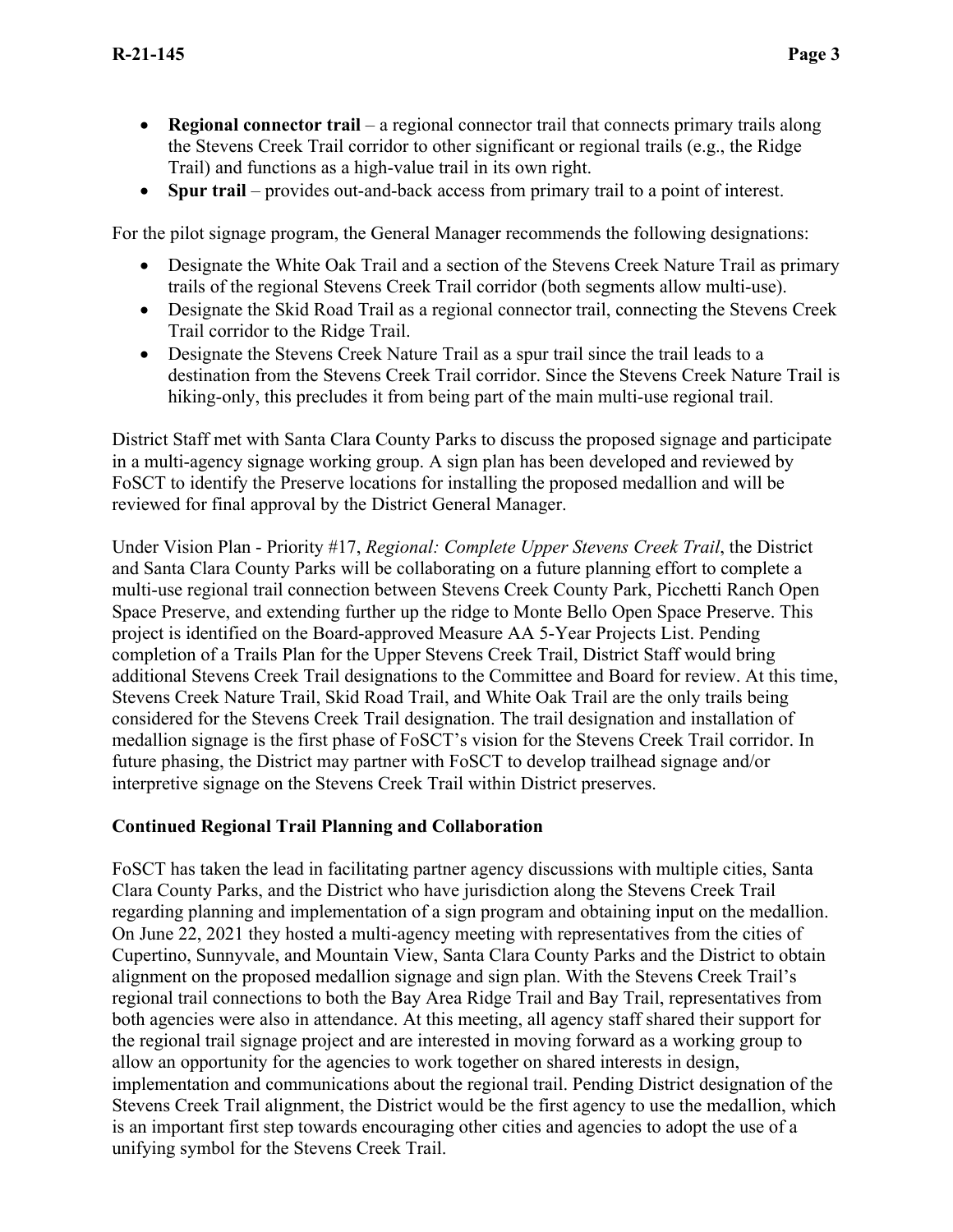- **Regional connector trail** a regional connector trail that connects primary trails along the Stevens Creek Trail corridor to other significant or regional trails (e.g., the Ridge Trail) and functions as a high-value trail in its own right.
- **Spur trail** provides out-and-back access from primary trail to a point of interest.

For the pilot signage program, the General Manager recommends the following designations:

- Designate the White Oak Trail and a section of the Stevens Creek Nature Trail as primary trails of the regional Stevens Creek Trail corridor (both segments allow multi-use).
- Designate the Skid Road Trail as a regional connector trail, connecting the Stevens Creek Trail corridor to the Ridge Trail.
- Designate the Stevens Creek Nature Trail as a spur trail since the trail leads to a destination from the Stevens Creek Trail corridor. Since the Stevens Creek Nature Trail is hiking-only, this precludes it from being part of the main multi-use regional trail.

District Staff met with Santa Clara County Parks to discuss the proposed signage and participate in a multi-agency signage working group. A sign plan has been developed and reviewed by FoSCT to identify the Preserve locations for installing the proposed medallion and will be reviewed for final approval by the District General Manager.

Under Vision Plan - Priority #17, *Regional: Complete Upper Stevens Creek Trail*, the District and Santa Clara County Parks will be collaborating on a future planning effort to complete a multi-use regional trail connection between Stevens Creek County Park, Picchetti Ranch Open Space Preserve, and extending further up the ridge to Monte Bello Open Space Preserve. This project is identified on the Board-approved Measure AA 5-Year Projects List. Pending completion of a Trails Plan for the Upper Stevens Creek Trail, District Staff would bring additional Stevens Creek Trail designations to the Committee and Board for review. At this time, Stevens Creek Nature Trail, Skid Road Trail, and White Oak Trail are the only trails being considered for the Stevens Creek Trail designation. The trail designation and installation of medallion signage is the first phase of FoSCT's vision for the Stevens Creek Trail corridor. In future phasing, the District may partner with FoSCT to develop trailhead signage and/or interpretive signage on the Stevens Creek Trail within District preserves.

#### **Continued Regional Trail Planning and Collaboration**

FoSCT has taken the lead in facilitating partner agency discussions with multiple cities, Santa Clara County Parks, and the District who have jurisdiction along the Stevens Creek Trail regarding planning and implementation of a sign program and obtaining input on the medallion. On June 22, 2021 they hosted a multi-agency meeting with representatives from the cities of Cupertino, Sunnyvale, and Mountain View, Santa Clara County Parks and the District to obtain alignment on the proposed medallion signage and sign plan. With the Stevens Creek Trail's regional trail connections to both the Bay Area Ridge Trail and Bay Trail, representatives from both agencies were also in attendance. At this meeting, all agency staff shared their support for the regional trail signage project and are interested in moving forward as a working group to allow an opportunity for the agencies to work together on shared interests in design, implementation and communications about the regional trail. Pending District designation of the Stevens Creek Trail alignment, the District would be the first agency to use the medallion, which is an important first step towards encouraging other cities and agencies to adopt the use of a unifying symbol for the Stevens Creek Trail.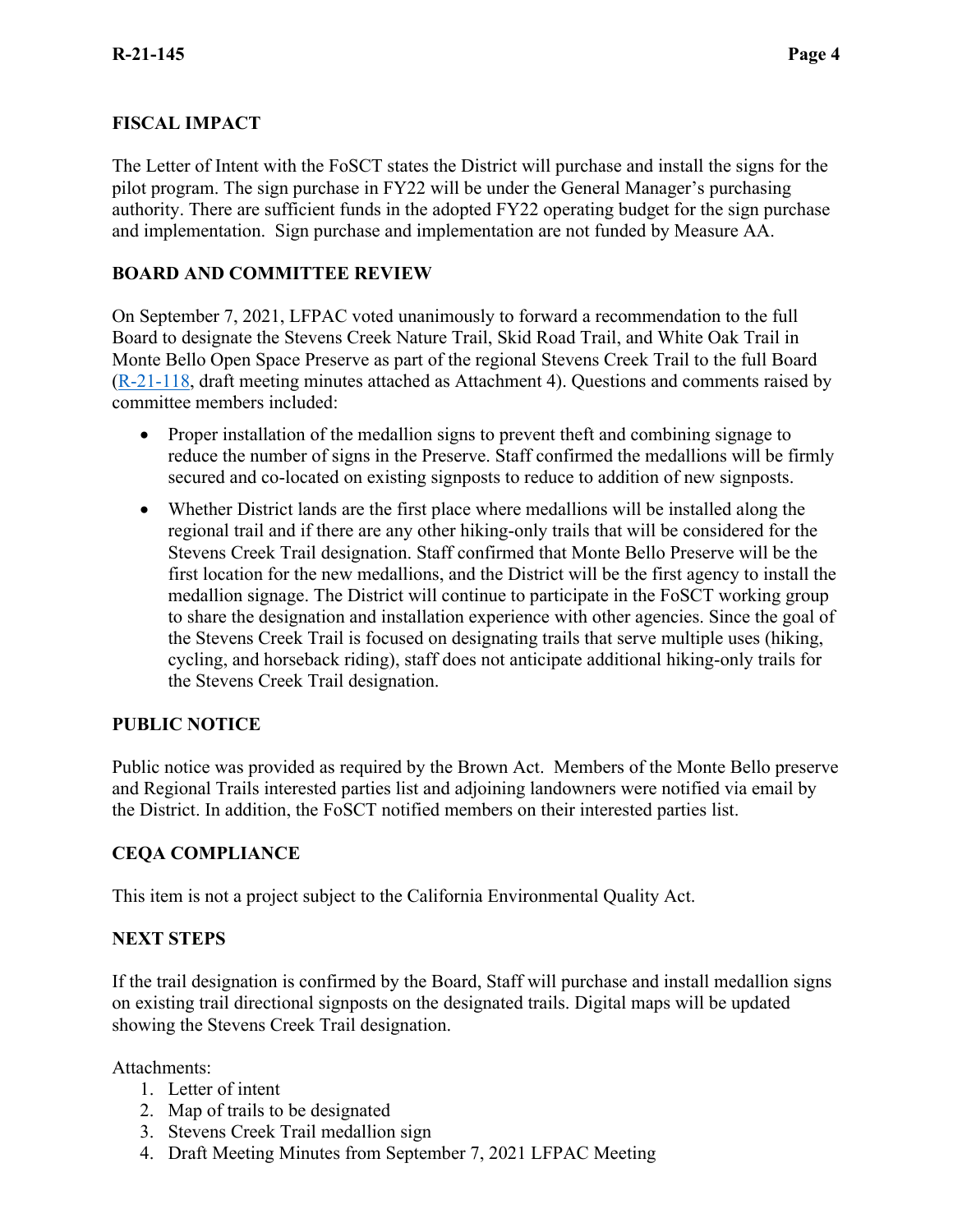## **FISCAL IMPACT**

The Letter of Intent with the FoSCT states the District will purchase and install the signs for the pilot program. The sign purchase in FY22 will be under the General Manager's purchasing authority. There are sufficient funds in the adopted FY22 operating budget for the sign purchase and implementation. Sign purchase and implementation are not funded by Measure AA.

## **BOARD AND COMMITTEE REVIEW**

On September 7, 2021, LFPAC voted unanimously to forward a recommendation to the full Board to designate the Stevens Creek Nature Trail, Skid Road Trail, and White Oak Trail in Monte Bello Open Space Preserve as part of the regional Stevens Creek Trail to the full Board [\(R-21-118,](https://www.openspace.org/sites/default/files/20210907_SCTDesignation_R-21-118.pdf) draft meeting minutes attached as Attachment 4). Questions and comments raised by committee members included:

- Proper installation of the medallion signs to prevent theft and combining signage to reduce the number of signs in the Preserve. Staff confirmed the medallions will be firmly secured and co-located on existing signposts to reduce to addition of new signposts.
- Whether District lands are the first place where medallions will be installed along the regional trail and if there are any other hiking-only trails that will be considered for the Stevens Creek Trail designation. Staff confirmed that Monte Bello Preserve will be the first location for the new medallions, and the District will be the first agency to install the medallion signage. The District will continue to participate in the FoSCT working group to share the designation and installation experience with other agencies. Since the goal of the Stevens Creek Trail is focused on designating trails that serve multiple uses (hiking, cycling, and horseback riding), staff does not anticipate additional hiking-only trails for the Stevens Creek Trail designation.

#### **PUBLIC NOTICE**

Public notice was provided as required by the Brown Act. Members of the Monte Bello preserve and Regional Trails interested parties list and adjoining landowners were notified via email by the District. In addition, the FoSCT notified members on their interested parties list.

#### **CEQA COMPLIANCE**

This item is not a project subject to the California Environmental Quality Act.

#### **NEXT STEPS**

If the trail designation is confirmed by the Board, Staff will purchase and install medallion signs on existing trail directional signposts on the designated trails. Digital maps will be updated showing the Stevens Creek Trail designation.

Attachments:

- 1. Letter of intent
- 2. Map of trails to be designated
- 3. Stevens Creek Trail medallion sign
- 4. Draft Meeting Minutes from September 7, 2021 LFPAC Meeting